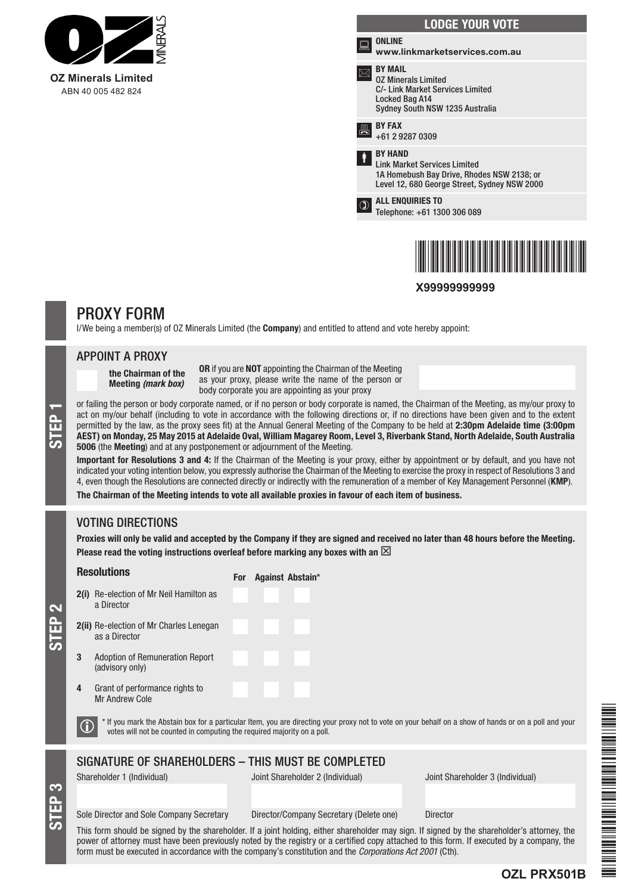

|      | <b>LODGE YOUR VOTE</b>                                                                                                                              |
|------|-----------------------------------------------------------------------------------------------------------------------------------------------------|
| ina. | <b>ONLINE</b><br>www.linkmarketservices.com.au                                                                                                      |
|      | <b>BY MAIL</b><br><b>02 Minerals Limited</b><br>C/- Link Market Services Limited<br>Locked Bag A14<br>Sydney South NSW 1235 Australia               |
| 틙    | <b>BY FAX</b><br>+61 2 9287 0309                                                                                                                    |
| ŧ    | <b>RY HAND</b><br><b>Link Market Services Limited</b><br>1A Homebush Bay Drive, Rhodes NSW 2138; or<br>Level 12, 680 George Street, Sydney NSW 2000 |
|      | <b>ALL ENQUIRIES TO</b><br>Telephone: +61 1300 306 089                                                                                              |
|      |                                                                                                                                                     |



**X99999999999**

# PROXY FORM

I/We being a member(s) of OZ Minerals Limited (the **Company**) and entitled to attend and vote hereby appoint:

### APPOINT A PROXY

the Chairman of the Meeting *(mark box)*

OR if you are NOT appointing the Chairman of the Meeting as your proxy, please write the name of the person or body corporate you are appointing as your proxy

or failing the person or body corporate named, or if no person or body corporate is named, the Chairman of the Meeting, as my/our proxy to<br>act on my/our behalf (including to vote in accordance with the following directions act on my/our behalf (including to vote in accordance with the following directions or, if no directions have been given and to the extent permitted by the law, as the proxy sees fit) at the Annual General Meeting of the Company to be held at 2:30pm Adelaide time (3:00pm 5006 (the Meeting) and at any postponement or adjournment of the Meeting.

Important for Resolutions 3 and 4: If the Chairman of the Meeting is your proxy, either by appointment or by default, and you have not indicated your voting intention below, you expressly authorise the Chairman of the Meeting to exercise the proxy in respect of Resolutions 3 and 4, even though the Resolutions are connected directly or indirectly with the remuneration of a member of Key Management Personnel (KMP).

The Chairman of the Meeting intends to vote all available proxies in favour of each item of business.

# VOTING DIRECTIONS

STEP 2

EP 3

Proxies will only be valid and accepted by the Company if they are signed and received no later than 48 hours before the Meeting. Please read the voting instructions overleaf before marking any boxes with an  $\boxtimes$ 

|                                                                                                                                                                                                                                  | <b>Resolutions</b>                                              | <b>For</b> | <b>Against Abstain*</b>          |                                  |  |  |
|----------------------------------------------------------------------------------------------------------------------------------------------------------------------------------------------------------------------------------|-----------------------------------------------------------------|------------|----------------------------------|----------------------------------|--|--|
|                                                                                                                                                                                                                                  | <b>2(i)</b> Re-election of Mr Neil Hamilton as<br>a Director    |            |                                  |                                  |  |  |
|                                                                                                                                                                                                                                  | <b>2(ii)</b> Re-election of Mr Charles Lenegan<br>as a Director |            |                                  |                                  |  |  |
| 3                                                                                                                                                                                                                                | Adoption of Remuneration Report<br>(advisory only)              |            |                                  |                                  |  |  |
| 4                                                                                                                                                                                                                                | Grant of performance rights to<br>Mr Andrew Cole                |            |                                  |                                  |  |  |
| * If you mark the Abstain box for a particular Item, you are directing your proxy not to vote on your behalf on a show of hands or on a poll and your<br>votes will not be counted in computing the required majority on a poll. |                                                                 |            |                                  |                                  |  |  |
|                                                                                                                                                                                                                                  | SIGNATURE OF SHAREHOLDERS - THIS MUST BE COMPLETED              |            |                                  |                                  |  |  |
|                                                                                                                                                                                                                                  | Shareholder 1 (Individual)                                      |            | Joint Shareholder 2 (Individual) | Joint Shareholder 3 (Individual) |  |  |
|                                                                                                                                                                                                                                  |                                                                 |            |                                  |                                  |  |  |

Sole Director and Sole Company Secretary Director/Company Secretary (Delete one) Director

This form should be signed by the shareholder. If a joint holding, either shareholder may sign. If signed by the shareholder's attorney, the power of attorney must have been previously noted by the registry or a certified copy attached to this form. If executed by a company, the form must be executed in accordance with the company's constitution and the *Corporations Act 2001* (Cth).

\*OZL PRZEZ PRZEZ PRZEZ PRZEZ PRZEZ PRZEZ PRZEZ PRZEZ PRZEZ PRZEZ PRZEZ PRZEZ PRZEZ PRZEZ PRZEZ PRZEZ PRZEZ PRZ 

**OZL PRX501B**